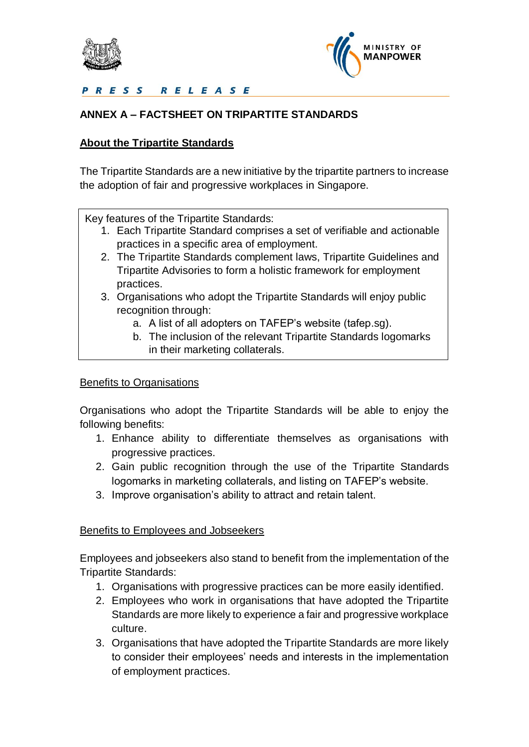



PRESS RELEASE

# **ANNEX A – FACTSHEET ON TRIPARTITE STANDARDS**

## **About the Tripartite Standards**

The Tripartite Standards are a new initiative by the tripartite partners to increase the adoption of fair and progressive workplaces in Singapore.

Key features of the Tripartite Standards:

- 1. Each Tripartite Standard comprises a set of verifiable and actionable practices in a specific area of employment.
- 2. The Tripartite Standards complement laws, Tripartite Guidelines and Tripartite Advisories to form a holistic framework for employment practices.
- 3. Organisations who adopt the Tripartite Standards will enjoy public recognition through:
	- a. A list of all adopters on TAFEP's website (tafep.sg).
	- b. The inclusion of the relevant Tripartite Standards logomarks in their marketing collaterals.

### Benefits to Organisations

Organisations who adopt the Tripartite Standards will be able to enjoy the following benefits:

- 1. Enhance ability to differentiate themselves as organisations with progressive practices.
- 2. Gain public recognition through the use of the Tripartite Standards logomarks in marketing collaterals, and listing on TAFEP's website.
- 3. Improve organisation's ability to attract and retain talent.

### Benefits to Employees and Jobseekers

Employees and jobseekers also stand to benefit from the implementation of the Tripartite Standards:

- 1. Organisations with progressive practices can be more easily identified.
- 2. Employees who work in organisations that have adopted the Tripartite Standards are more likely to experience a fair and progressive workplace culture.
- 3. Organisations that have adopted the Tripartite Standards are more likely to consider their employees' needs and interests in the implementation of employment practices.